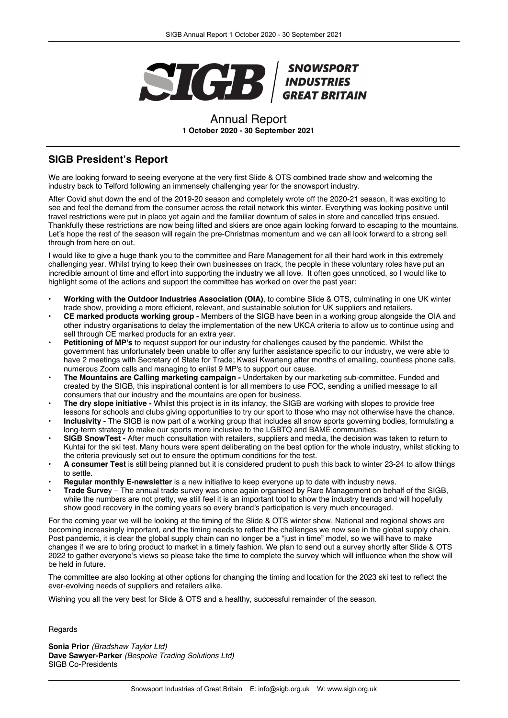

## Annual Report **1 October 2020 - 30 September 2021**

# **SIGB President's Report**

We are looking forward to seeing everyone at the very first Slide & OTS combined trade show and welcoming the industry back to Telford following an immensely challenging year for the snowsport industry.

After Covid shut down the end of the 2019-20 season and completely wrote off the 2020-21 season, it was exciting to see and feel the demand from the consumer across the retail network this winter. Everything was looking positive until travel restrictions were put in place yet again and the familiar downturn of sales in store and cancelled trips ensued. Thankfully these restrictions are now being lifted and skiers are once again looking forward to escaping to the mountains. Let's hope the rest of the season will regain the pre-Christmas momentum and we can all look forward to a strong sell through from here on out.

I would like to give a huge thank you to the committee and Rare Management for all their hard work in this extremely challenging year. Whilst trying to keep their own businesses on track, the people in these voluntary roles have put an incredible amount of time and effort into supporting the industry we all love. It often goes unnoticed, so I would like to highlight some of the actions and support the committee has worked on over the past year:

- **Working with the Outdoor Industries Association (OIA)**, to combine Slide & OTS, culminating in one UK winter trade show, providing a more efficient, relevant, and sustainable solution for UK suppliers and retailers.
- **CE marked products working group -** Members of the SIGB have been in a working group alongside the OIA and other industry organisations to delay the implementation of the new UKCA criteria to allow us to continue using and sell through CE marked products for an extra year.
- **Petitioning of MP's** to request support for our industry for challenges caused by the pandemic. Whilst the government has unfortunately been unable to offer any further assistance specific to our industry, we were able to have 2 meetings with Secretary of State for Trade; Kwasi Kwarteng after months of emailing, countless phone calls, numerous Zoom calls and managing to enlist 9 MP's to support our cause.
- **The Mountains are Calling marketing campaign -** Undertaken by our marketing sub-committee. Funded and created by the SIGB, this inspirational content is for all members to use FOC, sending a unified message to all consumers that our industry and the mountains are open for business.
- **The dry slope initiative -** Whilst this project is in its infancy, the SIGB are working with slopes to provide free lessons for schools and clubs giving opportunities to try our sport to those who may not otherwise have the chance.
- **Inclusivity -** The SIGB is now part of a working group that includes all snow sports governing bodies, formulating a long-term strategy to make our sports more inclusive to the LGBTQ and BAME communities.
- **SIGB SnowTest -** After much consultation with retailers, suppliers and media, the decision was taken to return to Kuhtai for the ski test. Many hours were spent deliberating on the best option for the whole industry, whilst sticking to the criteria previously set out to ensure the optimum conditions for the test.
- **A consumer Test** is still being planned but it is considered prudent to push this back to winter 23-24 to allow things to settle.
- **Regular monthly E-newsletter** is a new initiative to keep everyone up to date with industry news.
- **Trade Surve**y The annual trade survey was once again organised by Rare Management on behalf of the SIGB, while the numbers are not pretty, we still feel it is an important tool to show the industry trends and will hopefully show good recovery in the coming years so every brand's participation is very much encouraged.

For the coming year we will be looking at the timing of the Slide & OTS winter show. National and regional shows are becoming increasingly important, and the timing needs to reflect the challenges we now see in the global supply chain. Post pandemic, it is clear the global supply chain can no longer be a "just in time" model, so we will have to make changes if we are to bring product to market in a timely fashion. We plan to send out a survey shortly after Slide & OTS 2022 to gather everyone's views so please take the time to complete the survey which will influence when the show will be held in future.

The committee are also looking at other options for changing the timing and location for the 2023 ski test to reflect the ever-evolving needs of suppliers and retailers alike.

Wishing you all the very best for Slide & OTS and a healthy, successful remainder of the season.

Regards

**Sonia Prior** *(Bradshaw Taylor Ltd)* **Dave Sawyer-Parker** *(Bespoke Trading Solutions Ltd)* SIGB Co-Presidents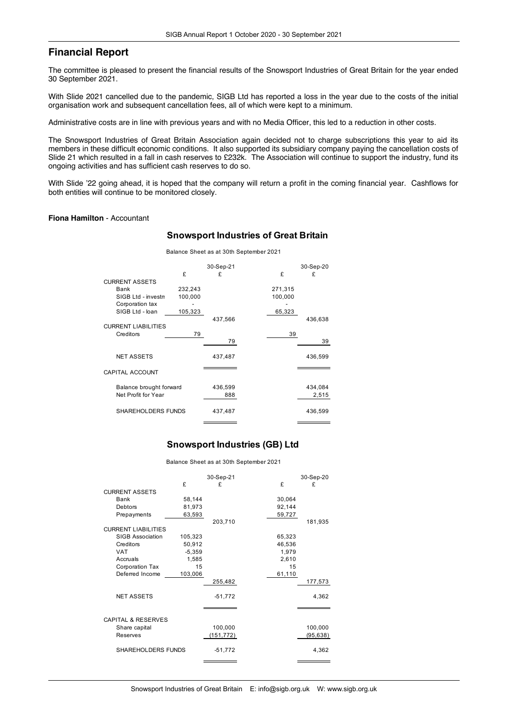# **Financial Report**

The committee is pleased to present the financial results of the Snowsport Industries of Great Britain for the year ended 30 September 2021.

With Slide 2021 cancelled due to the pandemic, SIGB Ltd has reported a loss in the year due to the costs of the initial organisation work and subsequent cancellation fees, all of which were kept to a minimum.

Administrative costs are in line with previous years and with no Media Officer, this led to a reduction in other costs.

The Snowsport Industries of Great Britain Association again decided not to charge subscriptions this year to aid its members in these difficult economic conditions. It also supported its subsidiary company paying the cancellation costs of Slide 21 which resulted in a fall in cash reserves to £232k. The Association will continue to support the industry, fund its ongoing activities and has sufficient cash reserves to do so.

With Slide '22 going ahead, it is hoped that the company will return a profit in the coming financial year. Cashflows for both entities will continue to be monitored closely.

### **Fiona Hamilton** - Accountant

### **Snowsport Industries of Great Britain**

Balance Sheet as at 30th September 2021

|                        |                            | £       | 30-Sep-21<br>£ | £       | 30-Sep-20<br>£ |
|------------------------|----------------------------|---------|----------------|---------|----------------|
|                        | <b>CURRENT ASSETS</b>      |         |                |         |                |
|                        | Bank                       | 232,243 |                | 271,315 |                |
|                        | SIGB Ltd - investn         | 100,000 |                | 100,000 |                |
|                        | Corporation tax            |         |                |         |                |
|                        | SIGB Ltd - loan            | 105,323 |                | 65,323  |                |
|                        | <b>CURRENT LIABILITIES</b> |         | 437,566        |         | 436,638        |
|                        | Creditors                  | 79      |                | 39      |                |
|                        |                            |         | 79             |         | 39             |
|                        |                            |         |                |         |                |
|                        | <b>NET ASSETS</b>          |         | 437,487        |         | 436,599        |
|                        |                            |         |                |         |                |
| <b>CAPITAL ACCOUNT</b> |                            |         |                |         |                |
|                        | Balance brought forward    |         | 436,599        |         | 434,084        |
|                        | Net Profit for Year        |         | 888            |         | 2,515          |
|                        |                            |         |                |         |                |
|                        | SHAREHOLDERS FUNDS         |         | 437,487        |         | 436,599        |

### **Snowsport Industries (GB) Ltd**

Balance Sheet as at 30th September 2021

|                               |          | 30-Sep-21  |        | 30-Sep-20 |
|-------------------------------|----------|------------|--------|-----------|
|                               | £        | £          | £      | £         |
| <b>CURRENT ASSETS</b>         |          |            |        |           |
| Bank                          | 58,144   |            | 30,064 |           |
| Debtors                       | 81,973   |            | 92,144 |           |
| Prepayments                   | 63,593   |            | 59,727 |           |
|                               |          | 203,710    |        | 181,935   |
| <b>CURRENT LIABILITIES</b>    |          |            |        |           |
| <b>SIGB Association</b>       | 105,323  |            | 65,323 |           |
| Creditors                     | 50,912   |            | 46,536 |           |
| <b>VAT</b>                    | $-5,359$ |            | 1,979  |           |
| Accruals                      | 1,585    |            | 2,610  |           |
| Corporation Tax               | 15       |            | 15     |           |
| Deferred Income               | 103,006  |            | 61,110 |           |
|                               |          | 255,482    |        | 177,573   |
| <b>NET ASSETS</b>             |          | $-51,772$  |        | 4,362     |
|                               |          |            |        |           |
| <b>CAPITAL &amp; RESERVES</b> |          |            |        |           |
| Share capital                 |          | 100,000    |        | 100,000   |
| Reserves                      |          | (151, 772) |        | (95, 638) |
| SHAREHOLDERS FUNDS            |          | $-51,772$  |        | 4,362     |
|                               |          |            |        |           |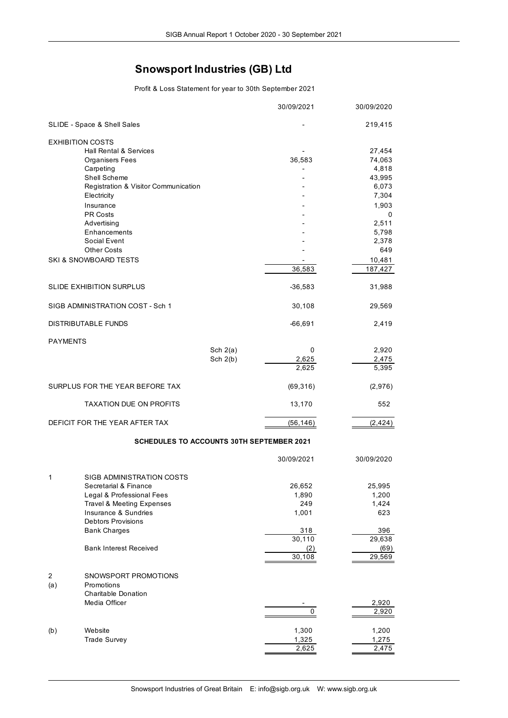# **Snowsport Industries (GB) Ltd**

Profit & Loss Statement for year to 30th September 2021

|                 |                                                  |            | 30/09/2021 | 30/09/2020 |
|-----------------|--------------------------------------------------|------------|------------|------------|
|                 | SLIDE - Space & Shell Sales                      |            |            | 219,415    |
|                 | <b>EXHIBITION COSTS</b>                          |            |            |            |
|                 | Hall Rental & Services                           |            |            | 27,454     |
|                 | <b>Organisers Fees</b>                           |            | 36,583     | 74,063     |
|                 | Carpeting                                        |            |            | 4,818      |
|                 | Shell Scheme                                     |            |            | 43,995     |
|                 | Registration & Visitor Communication             |            |            | 6,073      |
|                 | Electricity                                      |            |            | 7,304      |
|                 | Insurance                                        |            |            | 1,903      |
|                 | PR Costs                                         |            |            | 0          |
|                 | Advertising                                      |            |            | 2,511      |
|                 | Enhancements                                     |            |            | 5,798      |
|                 | Social Event                                     |            |            | 2,378      |
|                 | <b>Other Costs</b>                               |            |            | 649        |
|                 | SKI & SNOWBOARD TESTS                            |            |            | 10,481     |
|                 |                                                  |            | 36,583     | 187,427    |
|                 | <b>SLIDE EXHIBITION SURPLUS</b>                  |            | $-36,583$  | 31,988     |
|                 | SIGB ADMINISTRATION COST - Sch 1                 |            | 30,108     | 29,569     |
|                 | DISTRIBUTABLE FUNDS                              |            | $-66,691$  | 2,419      |
|                 |                                                  |            |            |            |
| <b>PAYMENTS</b> |                                                  | Sch $2(a)$ | 0          | 2,920      |
|                 |                                                  | Sch $2(b)$ | 2,625      | 2,475      |
|                 |                                                  |            | 2,625      | 5,395      |
|                 | SURPLUS FOR THE YEAR BEFORE TAX                  |            | (69, 316)  | (2,976)    |
|                 | <b>TAXATION DUE ON PROFITS</b>                   |            | 13,170     | 552        |
|                 | DEFICIT FOR THE YEAR AFTER TAX                   |            | (56, 146)  | (2, 424)   |
|                 |                                                  |            |            |            |
|                 | <b>SCHEDULES TO ACCOUNTS 30TH SEPTEMBER 2021</b> |            |            |            |
|                 |                                                  |            | 30/09/2021 | 30/09/2020 |
| 1               | SIGB ADMINISTRATION COSTS                        |            |            |            |
|                 | Secretarial & Finance                            |            | 26,652     | 25,995     |
|                 | Legal & Professional Fees                        |            | 1,890      | 1,200      |
|                 | Travel & Meeting Expenses                        |            | 249        | 1,424      |
|                 | Insurance & Sundries                             |            | 1,001      | 623        |
|                 | <b>Debtors Provisions</b>                        |            |            |            |
|                 | <b>Bank Charges</b>                              |            | 318        | 396        |
|                 |                                                  |            | 30,110     | 29,638     |
|                 | <b>Bank Interest Received</b>                    |            | (2)        | (69)       |
|                 |                                                  |            | 30,108     | 29,569     |
| 2               | SNOWSPORT PROMOTIONS                             |            |            |            |
| (a)             | Promotions                                       |            |            |            |
|                 | <b>Charitable Donation</b>                       |            |            |            |
|                 | Media Officer                                    |            |            | 2,920      |
|                 |                                                  |            | 0          | 2,920      |
|                 |                                                  |            |            |            |
| (b)             | Website                                          |            | 1,300      | 1,200      |
|                 | <b>Trade Survey</b>                              |            | 1,325      | 1,275      |
|                 |                                                  |            | 2,625      | 2,475      |